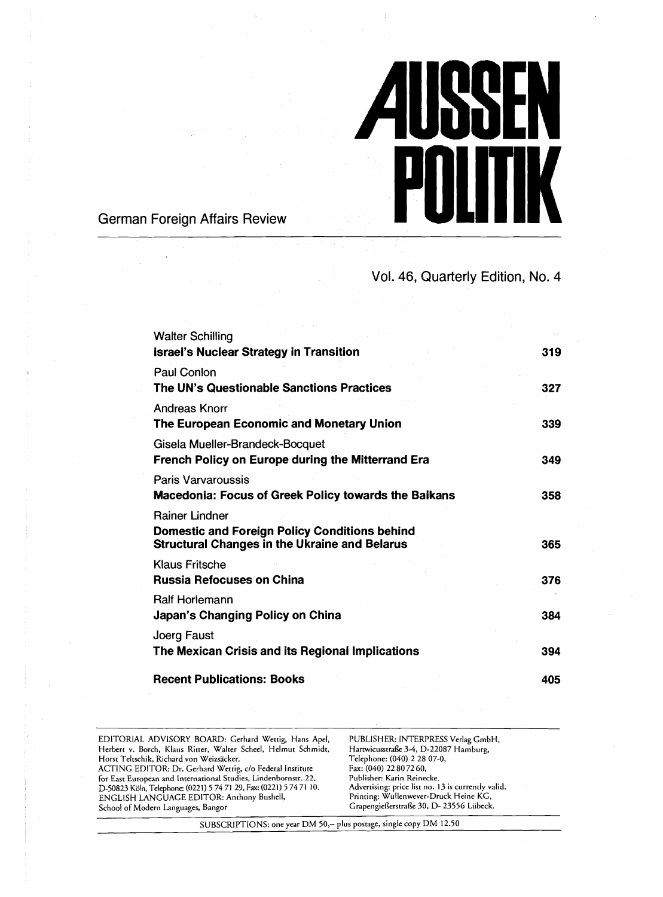

German Foreign Affairs Review

Vol. 46, Quarterly Edition, No. 4

| <b>Walter Schilling</b>                                                                               |     |
|-------------------------------------------------------------------------------------------------------|-----|
| Israel's Nuclear Strategy in Transition                                                               | 319 |
| Paul Conlon                                                                                           |     |
| The UN's Questionable Sanctions Practices                                                             | 327 |
| Andreas Knorr                                                                                         |     |
| The European Economic and Monetary Union                                                              | 339 |
| Gisela Mueller-Brandeck-Bocquet                                                                       |     |
| French Policy on Europe during the Mitterrand Era                                                     | 349 |
| Paris Varvaroussis                                                                                    |     |
| <b>Macedonia: Focus of Greek Policy towards the Balkans</b>                                           | 358 |
| Rainer Lindner                                                                                        |     |
| Domestic and Foreign Policy Conditions behind<br><b>Structural Changes in the Ukraine and Belarus</b> | 365 |
| Klaus Fritsche                                                                                        |     |
| <b>Russia Refocuses on China</b>                                                                      | 376 |
| <b>Ralf Horlemann</b>                                                                                 |     |
| Japan's Changing Policy on China                                                                      | 384 |
| Joerg Faust                                                                                           |     |
| The Mexican Crisis and its Regional Implications                                                      | 394 |
| <b>Recent Publications: Books</b>                                                                     | 405 |

EDITORIAL ADVISORY BOARD: Gerhard Wettig, Hans Apel, PUBLISHER: INTERPRESS Verlag GmbH,<br>Herbert v. Borch, Klaus Ritter, Walter Scheel, Helmut Schmidt, Hartwicusstraße 3-4, D-22087 Hamburg,<br>Horst Teltschik, Richard von Weiz Herbert v. Borch, Klaus Ritter, Walter Scheel, Helmut Schmidt, Horsr Teltxhik, Richard von Weizsscker. Telephone: (040) 2 28 07-0, ACTING EDITOR: Dr. Gerhard Werrig, c/o Federal Institute Fax: (040) 22 8072 60, for East European and International Studies, Lindenbornstr. 22, Publisher: Karin Reinecke.<br>
1968-23 Köln, Telephone: (0221) 57471 29, Fax: (0221) 57471 10. Advertising: price list no. 13 is currently valid.<br>
2011 ENGLISH L D-50823 Köln, Telephone: (0221) 5 74 71 29, Fax: (0221) 5 74 71 10. Advertising: price list no. 13 is currently valid.<br>ENGLISH LANGUAGE EDITOR: Anthony Bushell, Printing: Wullenwe School of Modern Languages, Bangor GrapengieRerstraße 30, D- 23556 Lübeck.

SUBSCRIPTIONS: one year DM 50,- plus postage, single copy DM 12.50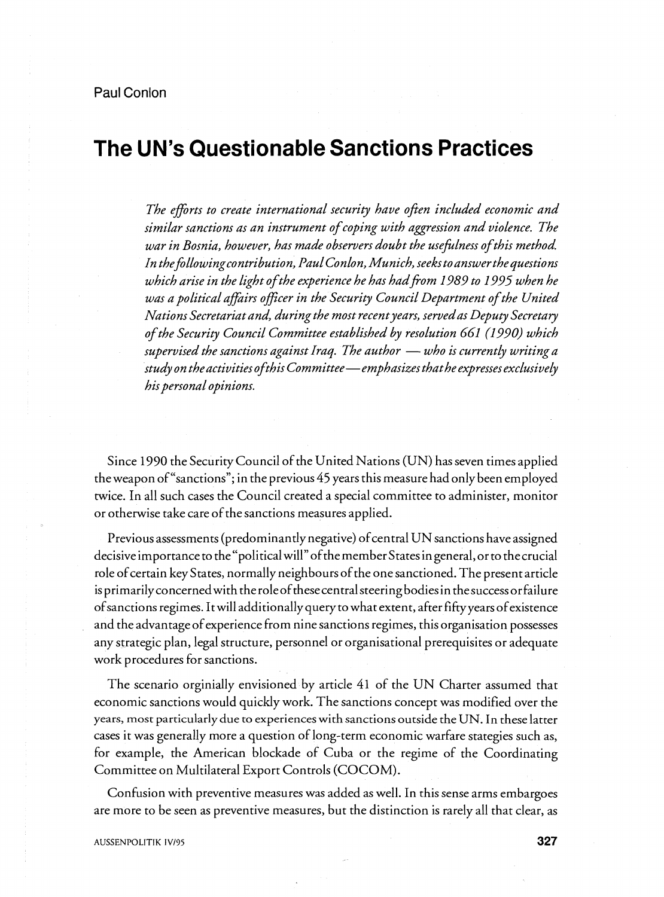# **The UN's Questionable Sanctions Practices**

The efforts to create international security have often included economic and *similar sanctions as an instrument of coping with aggression and violence. The war in Bosnia, however, has made observers doubt the wefilness of this method In thefollowingcontribution, Paul Conlon, Munich, seeks to answer the questions which arise in the light of the experience he has hadfiom 1989 to 1995 when he*  was a political affairs officer in the Security Council Department of the United *Nations Secretariat and, during the most recentyears, servedas Deputy Secreta y of the Security Council Committee established by resolution 661 (1990) which*  Nations Secretariat and, during the most recent years, served as Deputy Secretary<br>of the Security Council Committee established by resolution 661 (1990) which<br>supervised the sanctions against Iraq. The author — who is curr *supervised the sanctions against Iraq. The author — who is currently writing a*<br>study on the activities of this Committee—emphasizes that he expresses exclusively *his personal opinions.* 

Since 1990 the Security Council of the United Nations (UN) has seven times applied the weapon of "sanctions"; in the previous 45 years this measure had only been employed twice. In all such cases the Council created a special committee to administer, monitor or otherwise take care of the sanctions measures applied.

Previous assessments (predominantly negative) of central UN sanctions have assigned decisive importance to the "political will" ofthe member States in general, or to thecrucial role ofcertain key States, normally neighbours of the one sanctioned. The present article is primarily concernedwith the roleof thesecentral steering bodies in thesuccess or failure ofsanctions regimes. Itwill additionally query to what extent, after fifty years of existence and the advantage of experience from nine sanctions regimes, this organisation possesses any strategic plan, legal structure, personnel or organisational prerequisites or adequate work procedures for sanctions.

The scenario otginially envisioned by article 41 of the UN Charter assumed that economic sanctions would quickly work. The sanctions concept was modified over the years, most particularly due to experiences with sanctions outside the UN. In these latter cases it was generally more a question of long-term economic warfare stategies such as, for example, the American blockade of Cuba or the regime of the Coordinating Committee on Multilateral Export Controls (COCOM).

Confusion with preventive measures was added as well. In this sense arms embargoes are more to be seen as preventive measures, but the distinction is rarely all that clear, as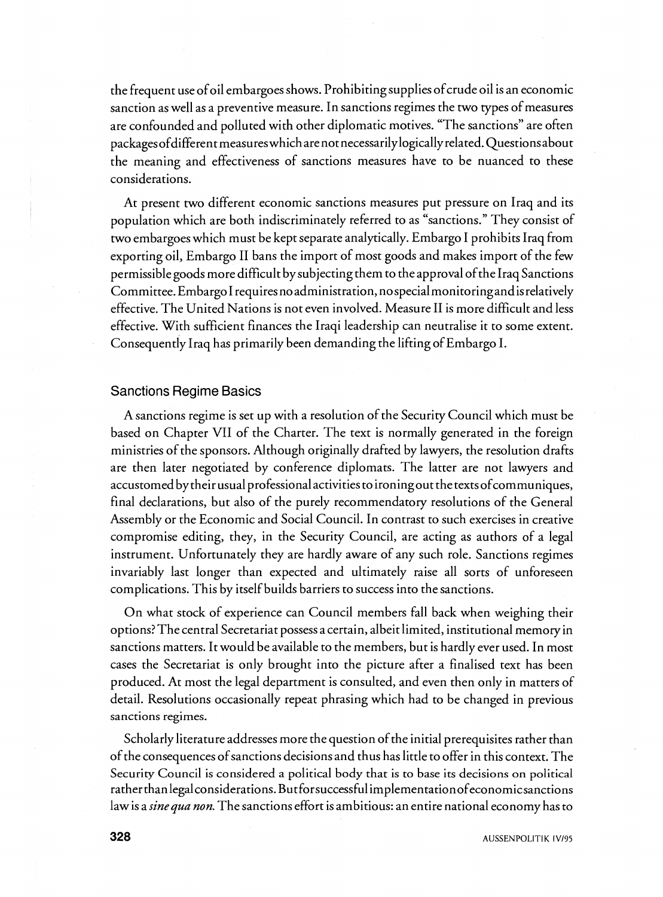the frequent use of oil embargoes shows. Prohibiting supplies of crude oil is an economic sanction as well as a preventive measure. In sanctions regimes the two types of measures are confounded and polluted with other diplomatic motives. "The sanctions" are often packages of different measures which are not necessarily logically related. Questions about the meaning and effectiveness of sanctions measures have to be nuanced to these considerations.

At present two different economic sanctions measures put pressure on Iraq and its population which are both indiscriminately referred to as "sanctions." They consist of two embargoes which must be kept separate analytically. Embargo I prohibits Iraq from exporting oil, Embargo I1 bans the import of most goods and makes import of the few permissiblegoods more difficult by subjecting them to the approval ofthe Iraq Sanctions Committee. EmbargoI requiresnoadministration, nospecialmonitoringandisrelatively effective. The United Nations is not even involved. Measure I1 is more difficult and less effective. With sufficient finances the Iraqi leadership can neutralise it to some extent. Consequently Iraq has primarily been demanding the lifting of Embargo I.

## Sanctions Regime Basics

A sanctions regime is set up with a resolution of the Security Council which must be based on Chapter VII of the Charter. The text is normally generated in the foreign ministries of the sponsors. Although originally drafted by lawyers, the resolution drafts are then later negotiated by conference diplomats. The latter are not lawyers and accustomed by their usual professional activities to ironing out the texts ofcommuniques, final declarations, but also of the purely recommendatory resolutions of the General Assembly or the Economic and Social Council. In contrast to such exercises in creative compromise editing, they, in the Security Council, are acting as authors of a legal instrument. Unfortunately they are hardly aware of any such role. Sanctions regimes invariably last longer than expected and ultimately raise all sorts of unforeseen complications. This by itself builds barriers to success into the sanctions.

On what stock of experience can Council members fall back when weighing their options? The central Secretariat possess a certain, albeit limited, institutional memory in sanctions matters. It would be available to the members, but is hardly ever used. In most cases the Secretariat is only brought into the picture after a finalised text has been produced. At most the legal department is consulted, and even then only in matters of detail. Resolutions occasionally repeat phrasing which had to be changed in previous sanctions regimes.

Scholarly literature addresses more the question of the initial prerequisites rather than of the consequences ofsanctions decisions and thus has little to offer in this context. The Security Council is considered a political body that is to base its decisions on **political**  rather thanlegalconsiderations. But forsuccessful implementationofeconomicsanctions law is a *sinequa* non. The sanctions effort is ambitious: an entire national economy has to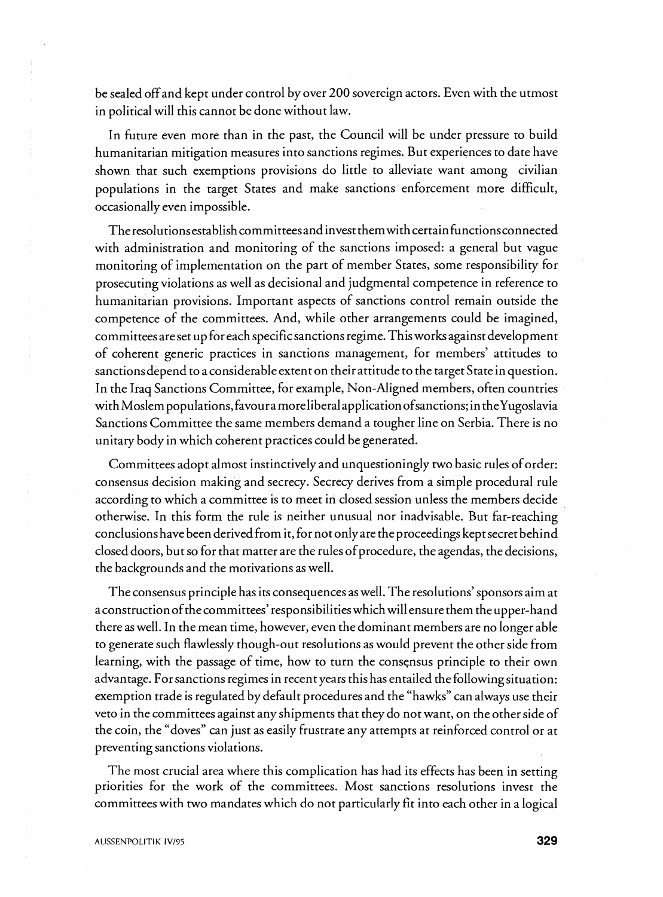be sealed off and kept under control by over 200 sovereign actors. Even with the utmost in political will this cannot be done without law.

In future even more than in the past, the Council will be under pressure to build humanitarian mitigation measures into sanctions regimes. But experiences to date have shown that such exemptions provisions do little to alleviate want among civilian populations in the target States and make sanctions enforcement more difficult, occasionally even impossible.

The resolutions establish committees and invest them with certain functions connected with administration and monitoring of the sanctions imposed: a general but vague monitoring of implementation on the part of member States, some responsibility for prosecuting violations as well as decisional and judgmental competence in reference to humanitarian provisions. Important aspects of sanctions control remain outside the competence of the committees. And, while other arrangements could be imagined, committeesare set up for each specificsanctions regime. This works against development of coherent generic practices in sanctions management, for members' attitudes to sanctionsdepend to a considerable extent on their attitude to the target State in question. In the Iraq Sanctions Committee, for example, Non-Aligned members, often countries withMoslem **populations,favouramoreliberalapplicationofsanctions;** in theYugoslavia Sanctions Committee the same members demand a tougher line on Serbia. There is no unitary body in which coherent practices could be generated.

Committees adopt almost instinctively and unquestioningly two basic rules of order: consensus decision making and secrecy. Secrecy derives from a simple procedural rule according to which a committee is to meet in closed session unless the members decide otherwise. In this form the rule is neither unusual nor inadvisable. But far-reaching conclusions have been derived from it, for not only are the proceedings kept secret behind closed doors, but so for that matter are the rules of procedure, the agendas, the decisions, the backgrounds and the motivations as well.

The consensus principle has its consequences as well. The resolutions' sponsors aim at a construction of the committees' responsibilities which will ensure them the upper-hand there as well. In the mean time, however, even the dominant members are no longer able to generate such flawlessly though-out resolutions as would prevent the other side from learning, with the passage of time, how to turn the consensus principle to their own advantage. For sanctions regimes in recent years this has entailed the following situation: exemption trade is regulated by default procedures and the "hawks" can always use their veto in the committees against any shipments that they do not want, on the other side of the coin, the "doves" can just as easily frustrate any attempts at reinforced control or at preventing sanctions violations.

The most crucial area where this complication has had its effects has been in setting priorities for the work of the committees. Most sanctions resolutions invest the committees with two mandates which do not particularly fit into each other in a logical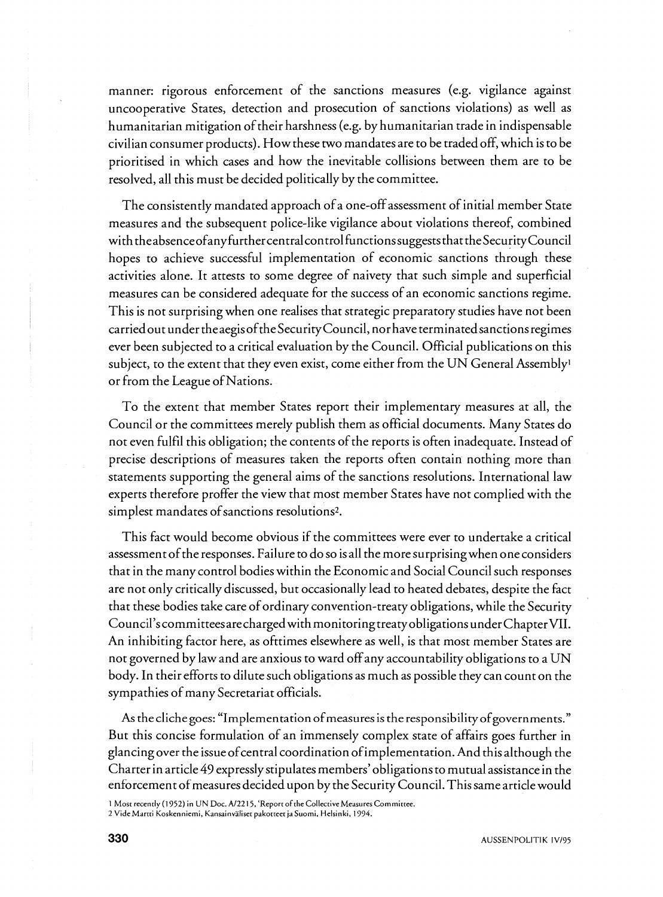manner: rigorous enforcement of the sanctions measures (e.g. vigilance against uncooperative States, detection and prosecution of sanctions violations) as well as humanitarian mitigation of their harshness (e.g. by humanitarian trade in indispensable civilian consumer products). How these two mandates are to be tradedoff, which is to be prioritised in which cases and how the inevitable collisions between them are to be resolved, all this must be decided politically by the committee.

The consistently mandated approach of a one-off assessment of initial member State measures and the subsequent police-like vigilance about violations thereof, combined with **theabsenceofanyfurthercentralcontrolfunctionssuggests** thattheSecurityCounci1 hopes to achieve successful implementation of economic sanctions through these activities alone. It attests to some degree of naivety that such simple and superficial measures can be considered adequate for the success of an economic sanctions regime. This is not surprising when one realises that strategic preparatory studies have not been carried out under the aegis of the Security Council, nor have terminated sanctions regimes ever been subjected to a critical evaluation by the Council. Official publications on this subject, to the extent that they even exist, come either from the UN General Assembly<sup>1</sup> or from the League of Nations.

To the extent that member States report their implementary measures at all, the Council or the committees merely publish them as official documents. Many States do not even fulfil this obligation; the contents of the reports is often inadequate. Instead of precise descriptions of measures taken the reports often contain nothing more than statements supporting the general aims of the sanctions resolutions. International law experts therefore proffer the view that most member States have not complied with the simplest mandates of sanctions resolutions<sup>2</sup>.

This fact would become obvious if the committees were ever to undertake a critical assessment of the responses. Failure to do so is all the more surprisingwhen one considers that in the many control bodies within the Economic and Social Council such responses are not only critically discussed, but occasionally lead to heated debates, despite the fact that these bodies take care of ordinary convention-treaty obligations, while the Security Council's committeesarechargedwith monitoringtreatyobligations under ChapterVII. An inhibiting factor here, as ofttimes elsewhere as well, is that most member States are not governed by law and are anxious to ward off any accountability obligations to a UN body. In their efforts to dilute such obligations as much as possible they can count on the sympathies of many Secretariat officials.

As the cliche goes: "Implementation of measures is the responsibility of governments." But this concise formulation of an immensely complex state of affairs goes further in glancing over the issue ofcentral coordination ofimplementation. And this although the Charter in article *49* expressly stipulates members' obligations to mutual assistance in the enforcement of measures decided upon by the Security Council. This same article would

<sup>1</sup>**Most recently** (1952) **in** UN **Doc.** A12215, **'ReporroFrheCollecriveMeasuresCommirree.** 

**<sup>2</sup> VideMarrri Koskenniemi, Kansainv3liser pakorreer jaSuomi. Helsinki,** 1994.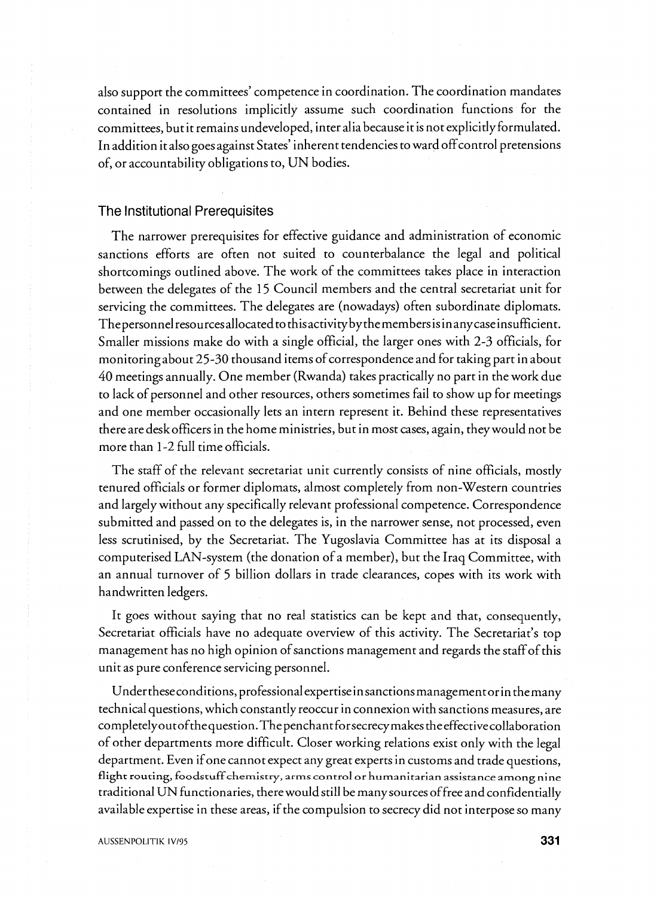also support the committees' competence in coordination. The coordination mandates contained in resolutions implicitly assume such coordination functions for the committees, but it remains undeveloped, inter alia because it is not explicitly formulated. In addition it also goes against States' inherent tendencies to ward off control pretensions of, or accountability obligations to, UN bodies.

## The Institutional Prerequisites

The narrower prerequisites for effective guidance and administration of economic sanctions efforts are often not suited to counterbalance the legal and political shortcomings outlined above. The work of the committees takes place in interaction between the delegates of the 15 Council members and the central secretariat unit for servicing the committees. The delegates are (nowadays) often subordinate diplomats. The personnel resources allocated to this activity by the members is in any case insufficient. Smaller missions make do with a single official, the larger ones with 2-3 officials, for monitoringabout 25-30 thousand items of correspondence and for taking part in about 40 meetings annually. One member (Rwanda) takes practically no part in the work due to lack of personnel and other resources, others sometimes fail to show up for meetings and one member occasionally lets an intern represent it. Behind these representatives there are deskofficers in the home ministries, but in most cases, again, they would not be more than 1-2 full time officials.

The staff of the relevant secretariat unit currently consists of nine officials, mostly tenured officials or former diplomats, almost completely from non-Western countries and largely without any specifically relevant professional competence. Correspondence submitted and passed on to the delegates is, in the narrower sense, not processed, even less scrutinised, by the Secretariat. The Yugoslavia Committee has at its disposal a computerised LAN-system (the donation of a member), but the Iraq Committee, with an annual turnover of 5 billion dollars in trade clearances, copes with its work with handwritten ledgers.

It goes without saying that no real statistics can be kept and that, consequently, Secretariat officials have no adequate overview of this activity. The Secretariat's top management has no high opinion of sanctions management and regards the staff of this unit as pure conference servicing personnel.

Undertheseconditions, professional expertiseinsanctionsmanagementor in themany technical questions, which constantly reoccur in connexion with sanctions measures, are completelyout of the question. The penchant for secrecy makes the effective collaboration of other departments more difficult. Closer working relations exist only with the legal department. Even if one cannot expect any great experts in customs and trade questions, **flight routing, foodstuff chemistry, arms control or humanitarian assistance among nine**  traditional UN functionaries, there would still be many sources offree and confidentially available expertise in these areas, if the compulsion to secrecy did not interpose so many

**AUSSENPOLITIK IV/95**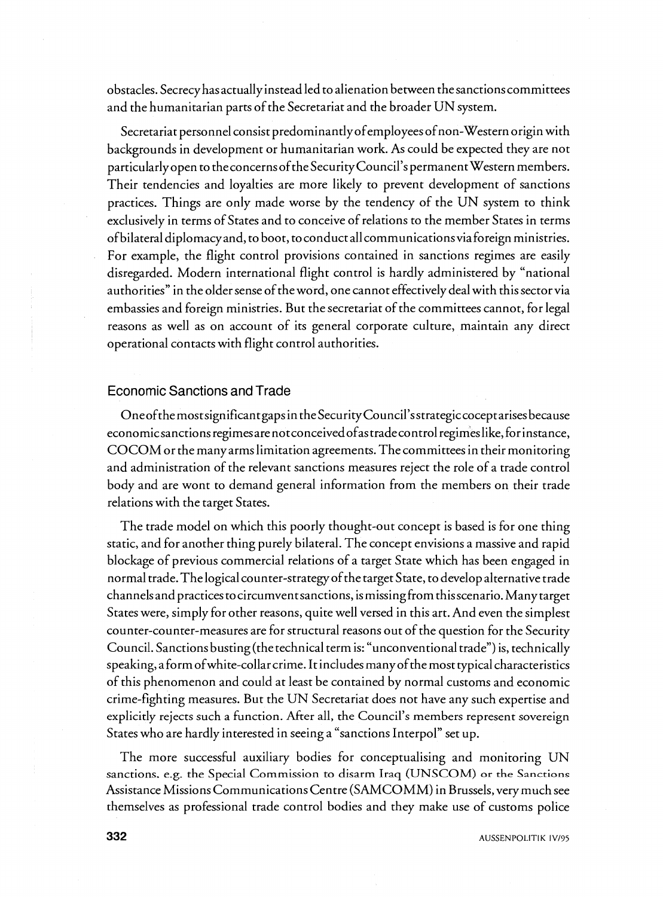obstacles. Secrecyhasactually instead led to alienation between thesanctionscommittees and the humanitarian parts of the Secretariat and the broader UN system.

Secretariat personnel consist **predominantlyofemployeesofnon-Western** origin with backgrounds in development or humanitarian work. As could be expected they are not particularly open to theconcerns ofthe Security Council'spermanent Western members. Their tendencies and loyalties are more likely to prevent development of sanctions practices. Things are only made worse by the tendency of the UN system to think exclusively in terms of States and to conceive of relations to the member States in terms of bilateral diplomacy and, to boot, toconduct all communicationsvia foreign ministries. For example, the flight control provisions contained in sanctions regimes are easily disregarded. Modern international flight control is hardly administered by "national authorities" in the older sense of the word, one cannot effectively deal with this sector via embassies and foreign ministries. But the secretariat of the committees cannot, for legal reasons as well as on account of its general corporate culture, maintain any direct operational contacts with flight control authorities.

#### Economic Sanctions and Trade

Oneofthe mostsignificant gaps in the Security Council'sstrategiccoceptarises because economicsanctionsregimesarenotconceivedofastradecontrol **regimeslike,forinstance,**  COCOM or the manyarms limitation agreements. Thecommittees in their monitoring and administration of the relevant sanctions measures reject the role of a trade control body and are wont to demand general information from the members on their trade relations with the target States.

The trade model on which this poorly thought-out concept is based is for one thing static, and for another thing purely bilateral. The concept envisions a massive and rapid blockage of previous commercial relations of a target State which has been engaged in normal trade. Thelogical counter-strategyofthe target State, to develop alternative trade channelsand practices tocircumventsanctions, ismissing from thisscenario. Many target States were, simply for other reasons, quite well versed in this art. And even the simplest counter-counter-measures are for structural reasons out of the question for the Security Council. Sanctions busting (the technical term is: "unconventional trade") is, technically speaking, a form of white-collar crime. It includes many of the most typical characteristics of this phenomenon and could at least be contained by normal customs and economic crime-fighting measures. But the UN Secretariat does not have any such expertise and explicitly rejects such a function. After all, the Council's members represent sovereign States who are hardly interested in seeing a "sanctions Interpol" set up.

The more successful auxiliary bodies for conceptualising and monitoring UN sanctions. e.g. the Special Commission to disarm Iraq (UNSCOM) or **the Sanctions**  Assistance Missions Communications Centre (SAMCOMM) in Brussels, very much see themselves as professional trade control bodies and they make use of customs police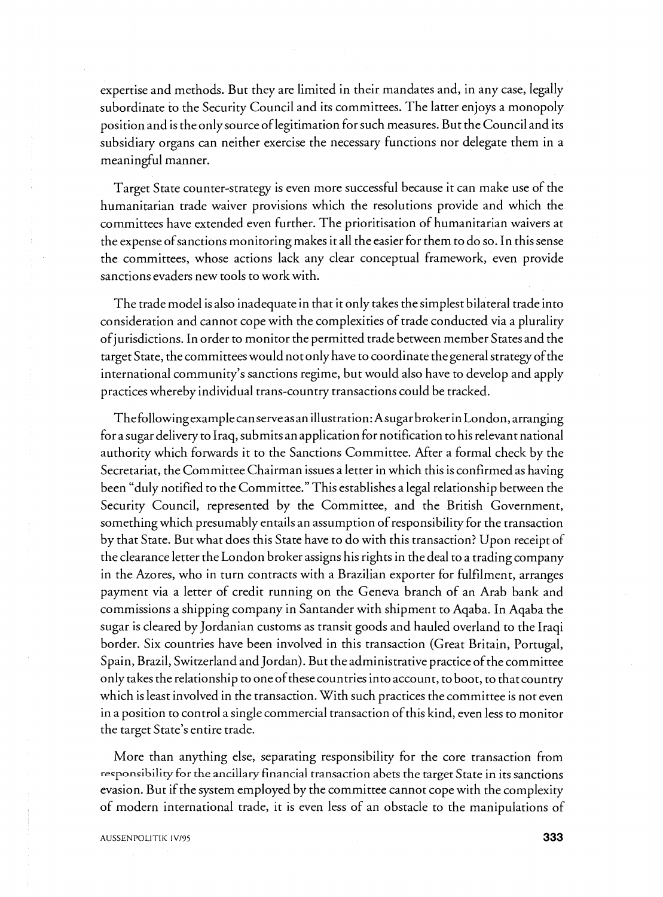expertise and methods. But they are limited in their mandates and, in any case, legally subordinate to the Security Council and its committees. The latter enjoys a monopoly position and is the only source of legitimation for such measures. But the Council and its subsidiary organs can neither exercise the necessary functions nor delegate them in a meaningful manner.

Target State counter-strategy is even more successful because it can make use of the humanitarian trade waiver provisions which the resolutions provide and which the committees have extended even further. The prioritisation of humanitarian waivers at the expense ofsanctions monitoring makes it all the easier for them to do so. In this sense the committees, whose actions lack any clear conceptual framework, even provide sanctions evaders new tools to work with.

The trade model is also inadequate in that it only takes the simplest bilateral trade into consideration and cannot cope with the complexities of trade conducted via a plurality ofjurisdictions. In order to monitor the permitted trade between member States and the target State, the committees would not only have to coordinate the general strategy of the international community's sanctions regime, but would also have to develop and apply practices whereby individual trans-country transactions could be tracked.

The followingexamplecanserveasan illustration: Asugarbroker in London, arranging for a sugar delivery to Iraq, submitsanapplication for notification to his relevant national authority which forwards it to the Sanctions Committee. After a formal check by the Secretariat, the Committee Chairman issues a letter in which this is confirmed as having been "duly notified to the Committee." This establishes a legal relationship between the Security Council, represented by the Committee, and the British Government, something which presumably entails an assumption of responsibility for the transaction by that State. But what does this State have to do with this transaction? Upon receipt of the clearance letter the London broker assigns his rights in the deal to a trading company in the Azores, who in turn contracts with a Brazilian exporter for fulfilment, arranges payment via a letter of credit running on the Geneva branch of an Arab bank and commissions a shipping company in Santander with shipment to Aqaba. In Aqaba the sugar is cleared by Jordanian customs as transit goods and hauled overland to the Iraqi border. Six countries have been involved in this transaction (Great Britain, Portugal, Spain, Brazil, Switzerland and Jordan). But the administrative practice of the committee only takes the relationship to one of these countries into account, to boot, to that country which is least involved in the transaction. With such practices the committee is not even in a position to control a single commercial transaction of this kind, even less to monitor the target State's entire trade.

More than anything else, separating responsibility for the core transaction from responsibility for the ancillary financial transaction abets the target State in its sanctions evasion. But if the system employed by the committee cannot cope with the complexity of modern international trade, it is even less of an obstacle to the manipulations of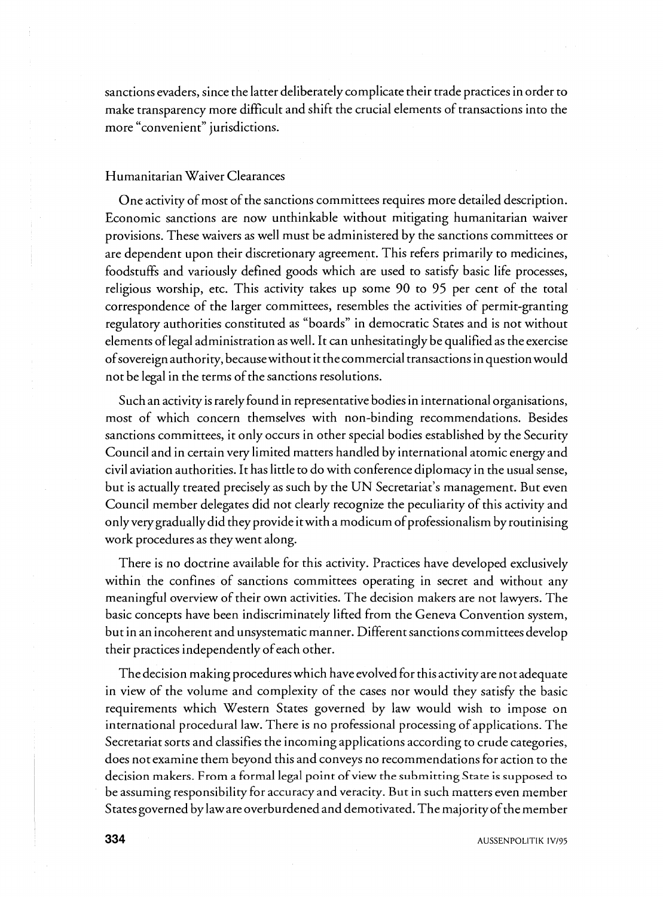sanctions evaders, since the latter deliberately complicate their trade practices in order to make transparency more difficult and shift the crucial elements of transactions into the more "convenient" jurisdictions.

## Humanitarian Waiver Clearances

One activity of most of the sanctions committees requires more detailed description. Economic sanctions are now unthinkable without mitigating humanitarian waiver provisions. These waivers as well must be administered by the sanctions committees or are dependent upon their discretionary agreement. This refers primarily to medicines, foodstuffs and variously defined goods which are used to satisfy basic life processes, religious worship, etc. This activity takes up some 90 to 95 per cent of the total correspondence of the larger committees, resembles the activities of permit-granting regulatory authorities constituted as "boards" in democratic States and is not without elements of legal administration as well. It can unhesitatingly be qualified as the exercise ofsovereign authority, because without it the commercial transactions in question would not be legal in the terms of the sanctions resolutions.

Such an activity is rarely found in representative bodies in international organisations, most of which concern themselves with non-binding recommendations. Besides sanctions committees, it only occurs in other special bodies established by the Security Council and in certain very limited matters handled by international atomic energy and civil aviation authorities. It has little to do with conference diplomacy in the usual sense, but is actually treated precisely as such by the UN Secretariat's management. But even Council member delegates did not clearly recognize the peculiarity of this activity and only very gradually did they provide it with a modicum of professionalism by routinising work procedures as they went along.

There is no doctrine available for this activity. Practices have developed exclusively within the confines of sanctions committees operating in secret and without any meaningful overview of their own activities. The decision makers are not lawyers. The basic concepts have been indiscriminately lifted from the Geneva Convention system, but in an incoherent and unsystematic manner. Different sanctions committees develop their practices independently of each other.

The decision making procedures which have evolved for this activity are not adequate in view of the volume and complexity of the cases nor would they satisfy the basic requirements which Western States governed by law would wish to impose on international procedural law. There is no professional processing of applications. The Secretariat sorts and classifies the incoming applications according to crude categories, does not examine them beyond this and conveys no recommendations for action to the decision makers. From a formal legal pint ofview the **submitting State is supposed to**  be assuming responsibility for accuracy and veracity. But in such matters even member States governed by law are overburdened and demotivated. The majority of the member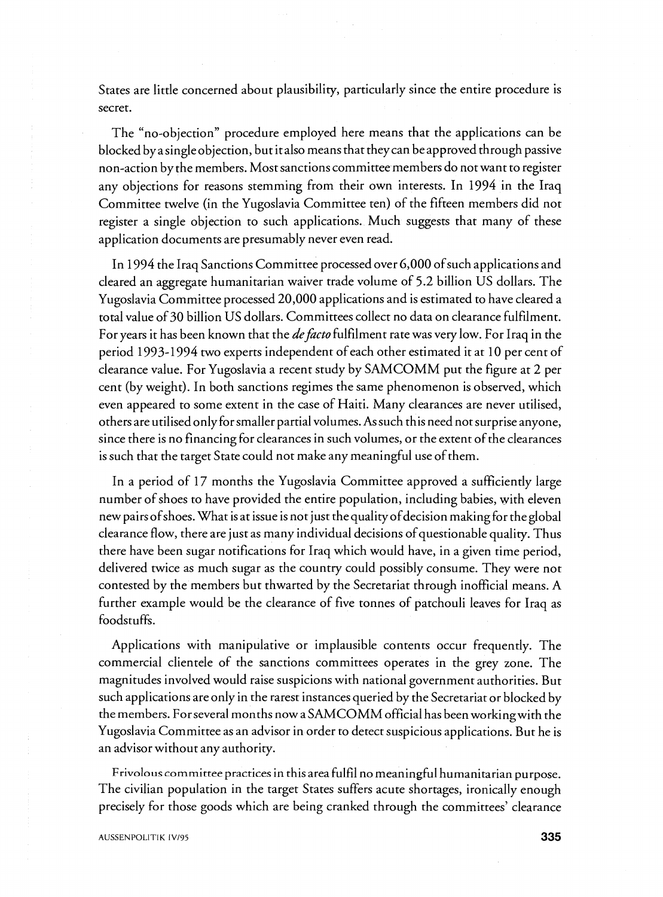States are little concerned about plausibility, particularly since the entire procedure is secret.

The "no-objection" procedure employed here means that the applications can be blocked by asingleobjection, but it also means that they can beapproved through passive non-action by the members. Most sanctions committee members do not want to register any objections for reasons stemming from their own interests. In 1994 in the Iraq Committee twelve (in the Yugoslavia Committee ten) of the fifteen members did not register a single objection to such applications. Much suggests that many of these application documents are presumably never even read.

In 1994 the Iraq Sanctions Committee processed over 6,000 of such applications and cleared an aggregate humanitarian waiver trade volume of 5.2 billion US dollars. The Yugoslavia Committee processed 20,000 applications and is estimated to have cleared a total value of 30 billion US dollars. Committees collect no data on clearance fulfilment. For years it has been known that the *defacto* fulfilment rate was very low. For Iraq in the period 1993-1994 two experts independent of each other estimated it at 10 per cent of clearance value. For Yugoslavia a recent study by SAMCOMM put the figure at 2 per cent (by weight). In both sanctions regimes the same phenomenon is observed, which even appeared to some extent in the case of Haiti. Many clearances are never utilised, others are utilised only for smaller partial volumes. As such this need not surprise anyone, since there is no financing for clearances in such volumes, or the extent of the clearances is such that the target State could not make any meaningful use of them.

In a period of 17 months the Yugoslavia Committee approved a sufficiently large number of shoes to have provided the entire population, including babies, with eleven new pairs of shoes. What is at issue is not just the quality of decision making for the global clearance flow, there are just as many individual decisions of questionable quality. Thus there have been sugar notifications for Iraq which would have, in a given time period, delivered twice as much sugar as the country could possibly consume. They were not contested by the members but thwarted by the Secretariat through inofficial means. A further example would be the clearance of five tonnes of patchouli leaves for Iraq as foodstuffs.

Applications with manipulative or implausible contents occur frequently. The commercial clientele of the sanctions committees operates in the grey zone. The magnitudes involved would raise suspicions with national government authorities. But such applications are only in the rarest instances queried by the Secretariat or blocked by the members. For several months now aSAMCOMM official has been workingwith the - Yugoslavia Committee as an advisor in order to detect suspicious applications. But he is an advisor without any authority.

Frivolous committee practices in this area fulfil no meaningful humanitarian purpose. The civilian population in the target States suffers acute shortages, ironically enough precisely for those goods which are being cranked through the committees' clearance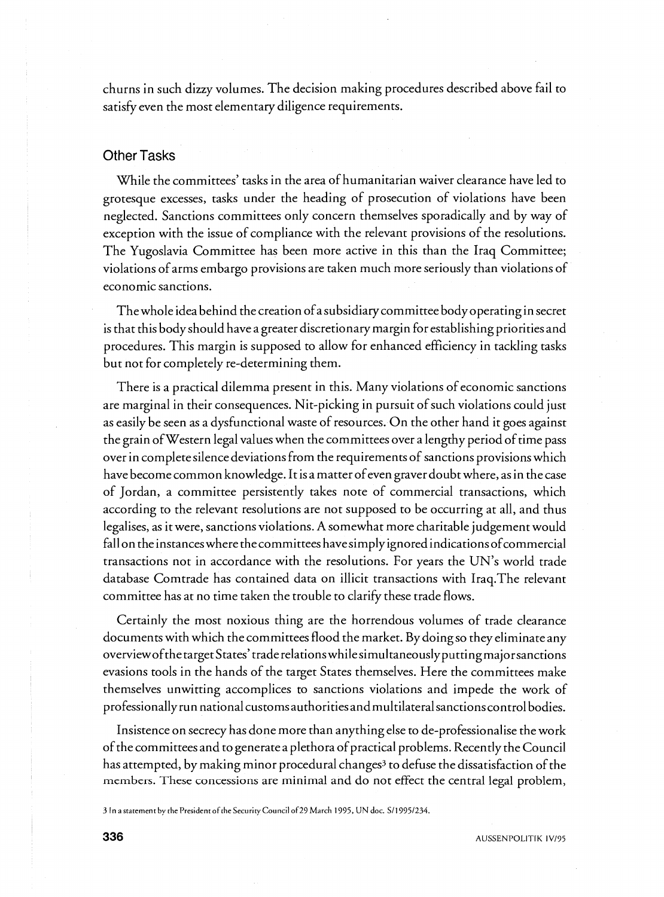churns in such dizzy volumes. The decision making procedures described above fail to satisfy even the most elementary diligence requirements.

### Other Tasks

While the committees' tasks in the area of humanitarian waiver clearance have led to grotesque excesses, tasks under the heading of prosecution of violations have been neglected. Sanctions committees only concern themselves sporadically and by way of exception with the issue of compliance with the relevant provisions of the resolutions. The Yugoslavia Committee has been more active in this than the Iraq Committee; violations of arms embargo provisions are taken much more seriously than violations of economic sanctions.

The whole idea behind the creation ofa subsidiary committee body operating in secret is that this body should have a greater discretionary margin for establishing priorities and procedures. This margin is supposed to allow for enhanced efficiency in tackling tasks but not for completely re-determining them.

There is a practical dilemma present in this. Many violations of economic sanctions are marginal in their consequences. Nit-picking in pursuit of such violations could just as easily be seen as a dysfunctional waste of resources. On the other hand it goes against the grain of Western legal values when the committees over a lengthy period of time pass over in completesilence deviations from the requirements of sanctions provisions which have become common knowledge. It is a matter of even graver doubt where, as in the case of Jordan, a committee persistently takes note of commercial transactions, which according to the relevant resolutions are not supposed to be occurring at all, and thus legalises, as it were, sanctions violations. Asomewhat more charitable judgement would fall on the instances where the committees have simply ignored indications of commercial transactions not in accordance with the resolutions. For years the UN's world trade database Comtrade has contained data on illicit transactions with 1raq.The relevant committee has at no time taken the trouble to clarify these trade flows.

Certainly the most noxious thing are the horrendous volumes of trade clearance documents with which the committees flood the market. By doing so they eliminate any overview of the target States' trade relations while simultaneously putting major sanctions evasions tools in the hands of the target States themselves. Here the committees make themselves unwitting accomplices to sanctions violations and impede the work of professionally run national customs authorities andmultilateralsanctionscontrol bodies.

Insistence on secrecy has done more than anything else to de-professionalise the work of the committees and to generate a plethora of practical problems. Recently the Council has attempted, by making minor procedural changes<sup>3</sup> to defuse the dissatisfaction of the members. These concessions are minimal and do not effect the central legal problem,

**3 In astarement** by **thePresident ofthe Securiry Council of29M~rch 1995, UN doc.** S/I **9051234.**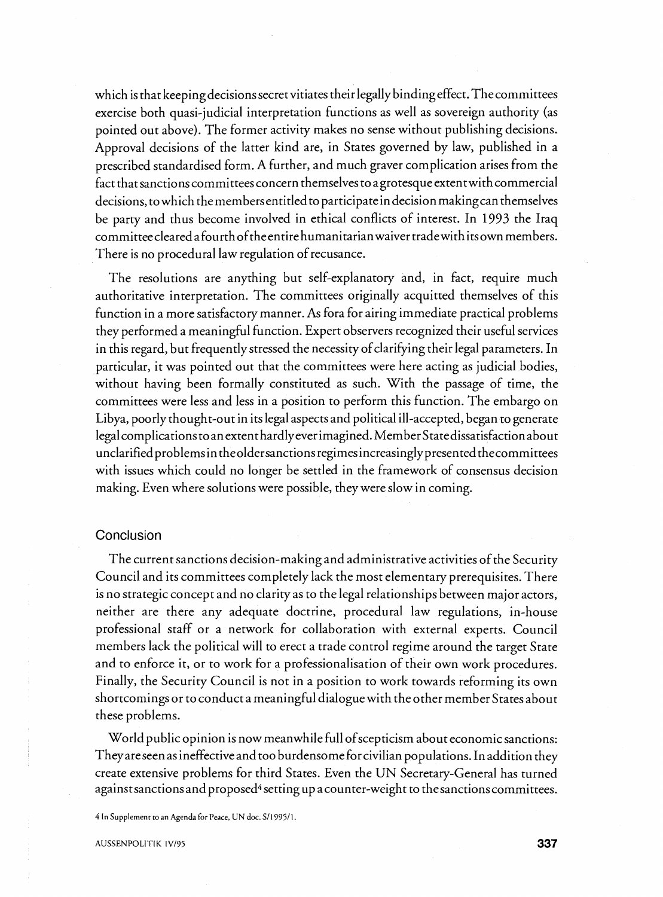which is that keepingdecisions secret vitiates their legally binding effect. Thecommittees exercise both quasi-judicial interpretation functions as well as sovereign authority (as pointed out above). The former activity makes no sense without publishing decisions. Approval decisions of the latter kind are, in States governed by law, published in a prescribed standardised form. A further, and much graver complication arises from the fact that sanctions committees concern themselves to a grotesque extent with commercial decisions, to which the membersentitled to participate in decision making can themselves be party and thus become involved in ethical conflicts of interest. In 1993 the Iraq committeecleared afourthoftheentire humanitarianwaiver tradewith itsown members. There is no procedural law regulation of recusance.

The resolutions are anything but self-explanatory and, in fact, require much authoritative interpretation. The committees originally acquitted themselves of this function in a more satisfactory manner. As fora for airing immediate practical problems they performed a meaningful function. Expert observers recognized their useful services in this regard, but frequently stressed the necessity of clarifying their legal parameters. In particular, it was pointed out that the committees were here acting as judicial bodies, without having been formally constituted as such. With the passage of time, the committees were less and less in a position to perform this function. The embargo on Libya, poorly thought-out in its legal aspects and political ill-accepted, began to generate legal complications to anextenthardly everimagined. Member Statedissatisfaction about unclarifiedproblems in theoldersanctionsregimesincreasinglypresented thecommittees with issues which could no longer be settled in the framework of consensus decision making. Even where solutions were possible, they were slow in coming.

#### Conclusion

The current sanctions decision-making and administrative activities of the Security Council and its committees completely lack the most elementary prerequisites. There is no strategic concept and no clarity as to the legal relationships between major actors, neither are there any adequate doctrine, procedural law regulations, in-house professional staff or a network for collaboration with external experts. Council members lack the political will to erect a trade control regime around the target State and to enforce it, or to work for a professionalisation of their own work procedures. Finally, the Security Council is not in a position to work towards reforming its own shortcomings or to conduct a meaningful dialogue with the other member States about these problems.

World public opinion is now meanwhile full of scepticism about economic sanctions: They areseen as ineffective and too burdensome for civilian populations. In addition they create extensive problems for third States. Even the UN Secretary-General has turned against sanctions and proposed<sup>4</sup> setting up a counter-weight to the sanctions committees.

 $4$  In Supplement to an Agenda for Peace, UN doc. S/1995/1.

**AUSSENPOLITIK IVl95**